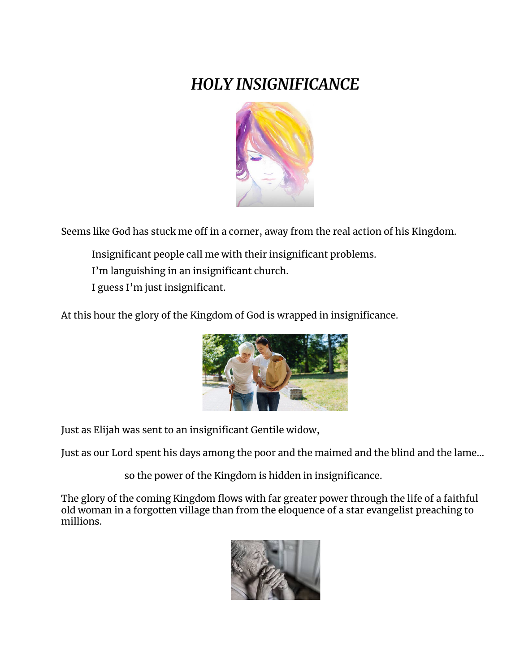## *HOLY INSIGNIFICANCE*



Seems like God has stuck me off in a corner, away from the real action of his Kingdom.

Insignificant people call me with their insignificant problems. I'm languishing in an insignificant church. I guess I'm just insignificant.

At this hour the glory of the Kingdom of God is wrapped in insignificance.



Just as Elijah was sent to an insignificant Gentile widow,

Just as our Lord spent his days among the poor and the maimed and the blind and the lame…

so the power of the Kingdom is hidden in insignificance.

The glory of the coming Kingdom flows with far greater power through the life of a faithful old woman in a forgotten village than from the eloquence of a star evangelist preaching to millions.